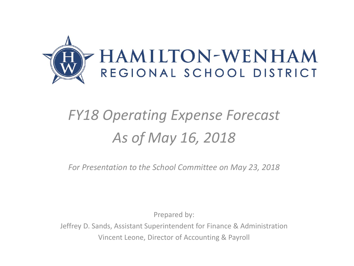

## *FY18 Operating Expense Forecast As of May 16, 2018*

*For Presentation to the School Committee on May 23, 2018*

Prepared by:

Jeffrey D. Sands, Assistant Superintendent for Finance & Administration Vincent Leone, Director of Accounting & Payroll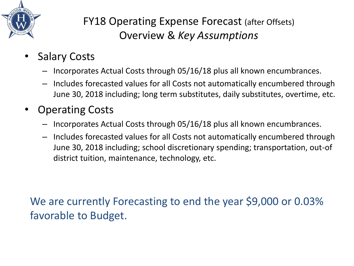

## FY18 Operating Expense Forecast (after Offsets) Overview & *Key Assumptions*

- **Salary Costs** 
	- Incorporates Actual Costs through 05/16/18 plus all known encumbrances.
	- Includes forecasted values for all Costs not automatically encumbered through June 30, 2018 including; long term substitutes, daily substitutes, overtime, etc.
- Operating Costs
	- Incorporates Actual Costs through 05/16/18 plus all known encumbrances.
	- Includes forecasted values for all Costs not automatically encumbered through June 30, 2018 including; school discretionary spending; transportation, out-of district tuition, maintenance, technology, etc.

We are currently Forecasting to end the year \$9,000 or 0.03% favorable to Budget.